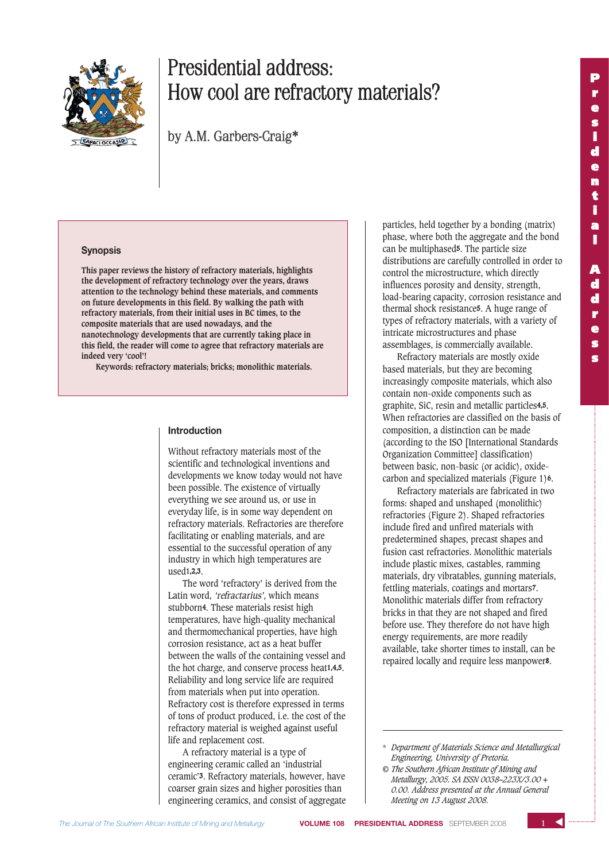

# Presidential address: How cool are refractory materials?

by A.M. Garbers-Craig\*

#### **Synopsis**

**This paper reviews the history of refractory materials, highlights the development of refractory technology over the years, draws attention to the technology behind these materials, and comments on future developments in this field. By walking the path with refractory materials, from their initial uses in BC times, to the composite materials that are used nowadays, and the nanotechnology developments that are currently taking place in this field, the reader will come to agree that refractory materials are indeed very 'cool'!**

**Keywords: refractory materials; bricks; monolithic materials.**

### **Introduction**

Without refractory materials most of the scientific and technological inventions and developments we know today would not have been possible. The existence of virtually everything we see around us, or use in everyday life, is in some way dependent on refractory materials. Refractories are therefore facilitating or enabling materials, and are essential to the successful operation of any industry in which high temperatures are used1,2,3.

The word 'refractory' is derived from the Latin word, 'refractarius', which means stubborn4. These materials resist high temperatures, have high-quality mechanical and thermomechanical properties, have high corrosion resistance, act as a heat buffer between the walls of the containing vessel and the hot charge, and conserve process heat1,4,5. Reliability and long service life are required from materials when put into operation. Refractory cost is therefore expressed in terms of tons of product produced, i.e. the cost of the refractory material is weighed against useful life and replacement cost.

A refractory material is a type of engineering ceramic called an 'industrial ceramic'3. Refractory materials, however, have coarser grain sizes and higher porosities than engineering ceramics, and consist of aggregate

particles, held together by a bonding (matrix) phase, where both the aggregate and the bond can be multiphased5. The particle size distributions are carefully controlled in order to control the microstructure, which directly influences porosity and density, strength, load-bearing capacity, corrosion resistance and thermal shock resistance5. A huge range of types of refractory materials, with a variety of intricate microstructures and phase assemblages, is commercially available.

Refractory materials are mostly oxide based materials, but they are becoming increasingly composite materials, which also contain non-oxide components such as graphite, SiC, resin and metallic particles4,5. When refractories are classified on the basis of composition, a distinction can be made (according to the ISO [International Standards Organization Committee] classification) between basic, non-basic (or acidic), oxidecarbon and specialized materials (Figure 1)6.

Refractory materials are fabricated in two forms: shaped and unshaped (monolithic) refractories (Figure 2). Shaped refractories include fired and unfired materials with predetermined shapes, precast shapes and fusion cast refractories. Monolithic materials include plastic mixes, castables, ramming materials, dry vibratables, gunning materials, fettling materials, coatings and mortars7. Monolithic materials differ from refractory bricks in that they are not shaped and fired before use. They therefore do not have high energy requirements, are more readily available, take shorter times to install, can be repaired locally and require less manpower8.

<sup>\*</sup> *Department of Materials Science and Metallurgical Engineering, University of Pretoria.*

*<sup>©</sup> The Southern African Institute of Mining and Metallurgy, 2005. SA ISSN 0038–223X/3.00 + 0.00. Address presented at the Annual General Meeting on 13 August 2008.*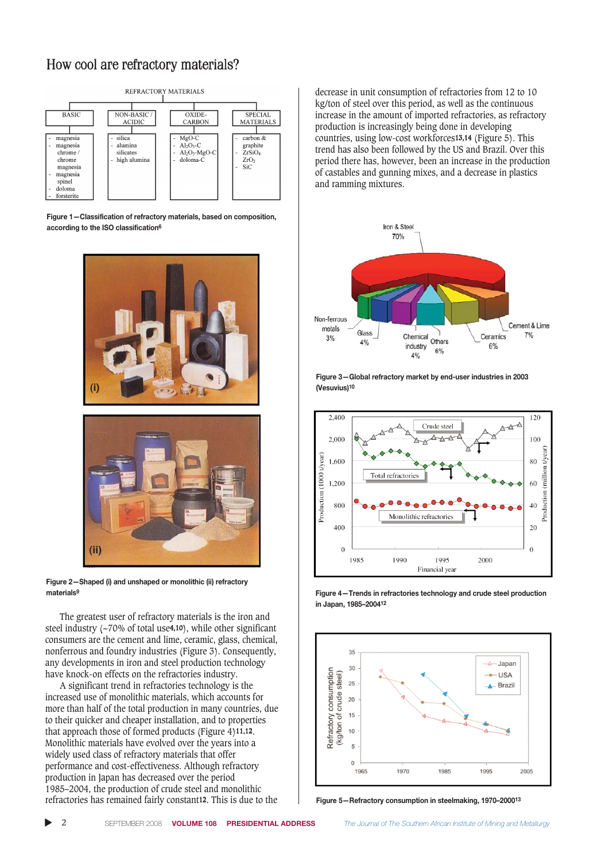

**Figure 1—Classification of refractory materials, based on composition, according to the ISO classification6**





**Figure 2—Shaped (i) and unshaped or monolithic (ii) refractory materials9**

The greatest user of refractory materials is the iron and steel industry (~70% of total use4,10), while other significant consumers are the cement and lime, ceramic, glass, chemical, nonferrous and foundry industries (Figure 3). Consequently, any developments in iron and steel production technology have knock-on effects on the refractories industry.

A significant trend in refractories technology is the increased use of monolithic materials, which accounts for more than half of the total production in many countries, due to their quicker and cheaper installation, and to properties that approach those of formed products (Figure 4)11,12. Monolithic materials have evolved over the years into a widely used class of refractory materials that offer performance and cost-effectiveness. Although refractory production in Japan has decreased over the period 1985–2004, the production of crude steel and monolithic refractories has remained fairly constant12. This is due to the

decrease in unit consumption of refractories from 12 to 10 kg/ton of steel over this period, as well as the continuous increase in the amount of imported refractories, as refractory production is increasingly being done in developing countries, using low-cost workforces13,14 (Figure 5). This trend has also been followed by the US and Brazil. Over this period there has, however, been an increase in the production of castables and gunning mixes, and a decrease in plastics and ramming mixtures.







**Figure 4—Trends in refractories technology and crude steel production in Japan, 1985–200412**



**Figure 5—Refractory consumption in steelmaking, 1970–200013**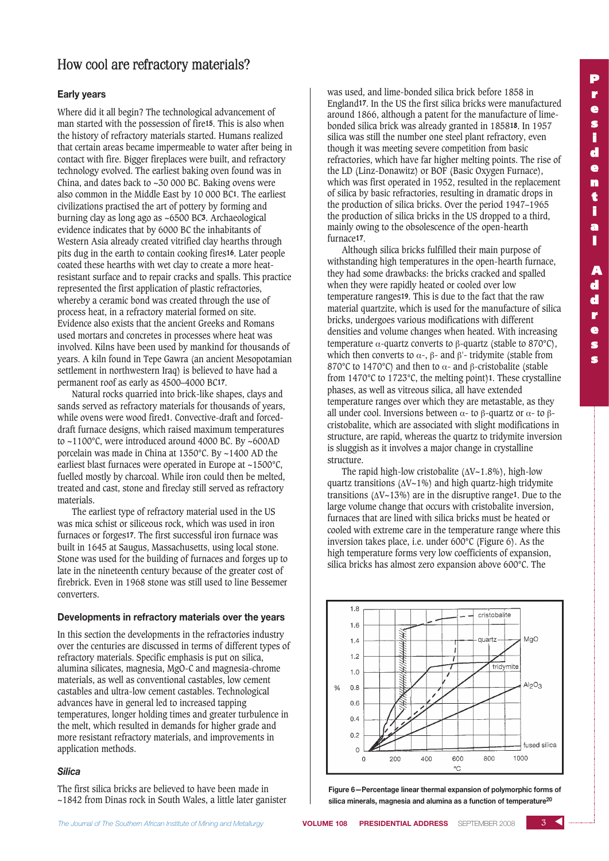### **Early years**

Where did it all begin? The technological advancement of man started with the possession of fire15. This is also when the history of refractory materials started. Humans realized that certain areas became impermeable to water after being in contact with fire. Bigger fireplaces were built, and refractory technology evolved. The earliest baking oven found was in China, and dates back to ~30 000 BC. Baking ovens were also common in the Middle East by 10 000 BC1. The earliest civilizations practised the art of pottery by forming and burning clay as long ago as ~6500 BC3. Archaeological evidence indicates that by 6000 BC the inhabitants of Western Asia already created vitrified clay hearths through pits dug in the earth to contain cooking fires16. Later people coated these hearths with wet clay to create a more heatresistant surface and to repair cracks and spalls. This practice represented the first application of plastic refractories, whereby a ceramic bond was created through the use of process heat, in a refractory material formed on site. Evidence also exists that the ancient Greeks and Romans used mortars and concretes in processes where heat was involved. Kilns have been used by mankind for thousands of years. A kiln found in Tepe Gawra (an ancient Mesopotamian settlement in northwestern Iraq) is believed to have had a permanent roof as early as 4500–4000 BC17.

Natural rocks quarried into brick-like shapes, clays and sands served as refractory materials for thousands of years, while ovens were wood fired1. Convective-draft and forceddraft furnace designs, which raised maximum temperatures to ~1100°C, were introduced around 4000 BC. By ~600AD porcelain was made in China at 1350°C. By ~1400 AD the earliest blast furnaces were operated in Europe at ~1500°C, fuelled mostly by charcoal. While iron could then be melted, treated and cast, stone and fireclay still served as refractory materials.

The earliest type of refractory material used in the US was mica schist or siliceous rock, which was used in iron furnaces or forges17. The first successful iron furnace was built in 1645 at Saugus, Massachusetts, using local stone. Stone was used for the building of furnaces and forges up to late in the nineteenth century because of the greater cost of firebrick. Even in 1968 stone was still used to line Bessemer converters.

### **Developments in refractory materials over the years**

In this section the developments in the refractories industry over the centuries are discussed in terms of different types of refractory materials. Specific emphasis is put on silica, alumina silicates, magnesia, MgO-C and magnesia-chrome materials, as well as conventional castables, low cement castables and ultra-low cement castables. Technological advances have in general led to increased tapping temperatures, longer holding times and greater turbulence in the melt, which resulted in demands for higher grade and more resistant refractory materials, and improvements in application methods.

### *Silica*

The first silica bricks are believed to have been made in ~1842 from Dinas rock in South Wales, a little later ganister was used, and lime-bonded silica brick before 1858 in England17. In the US the first silica bricks were manufactured around 1866, although a patent for the manufacture of limebonded silica brick was already granted in 185818. In 1957 silica was still the number one steel plant refractory, even though it was meeting severe competition from basic refractories, which have far higher melting points. The rise of the LD (Linz-Donawitz) or BOF (Basic Oxygen Furnace), which was first operated in 1952, resulted in the replacement of silica by basic refractories, resulting in dramatic drops in the production of silica bricks. Over the period 1947–1965 the production of silica bricks in the US dropped to a third, mainly owing to the obsolescence of the open-hearth furnace17.

Although silica bricks fulfilled their main purpose of withstanding high temperatures in the open-hearth furnace, they had some drawbacks: the bricks cracked and spalled when they were rapidly heated or cooled over low temperature ranges19. This is due to the fact that the raw material quartzite, which is used for the manufacture of silica bricks, undergoes various modifications with different densities and volume changes when heated. With increasing temperature α-quartz converts to β-quartz (stable to 870°C), which then converts to  $\alpha$ -, β- and β'- tridymite (stable from 870°C to 1470°C) and then to  $\alpha$ - and β-cristobalite (stable from 1470°C to 1723°C, the melting point)1. These crystalline phases, as well as vitreous silica, all have extended temperature ranges over which they are metastable, as they all under cool. Inversions between  $\alpha$ - to β-quartz or  $\alpha$ - to βcristobalite, which are associated with slight modifications in structure, are rapid, whereas the quartz to tridymite inversion is sluggish as it involves a major change in crystalline structure.

The rapid high-low cristobalite  $(\Delta V \sim 1.8\%)$ , high-low quartz transitions (ΔV~1%) and high quartz-high tridymite transitions ( $\Delta V \sim 13\%$ ) are in the disruptive range<sup>1</sup>. Due to the large volume change that occurs with cristobalite inversion, furnaces that are lined with silica bricks must be heated or cooled with extreme care in the temperature range where this inversion takes place, i.e. under 600°C (Figure 6). As the high temperature forms very low coefficients of expansion, silica bricks has almost zero expansion above 600°C. The



**Figure 6—Percentage linear thermal expansion of polymorphic forms of silica minerals, magnesia and alumina as a function of temperature20**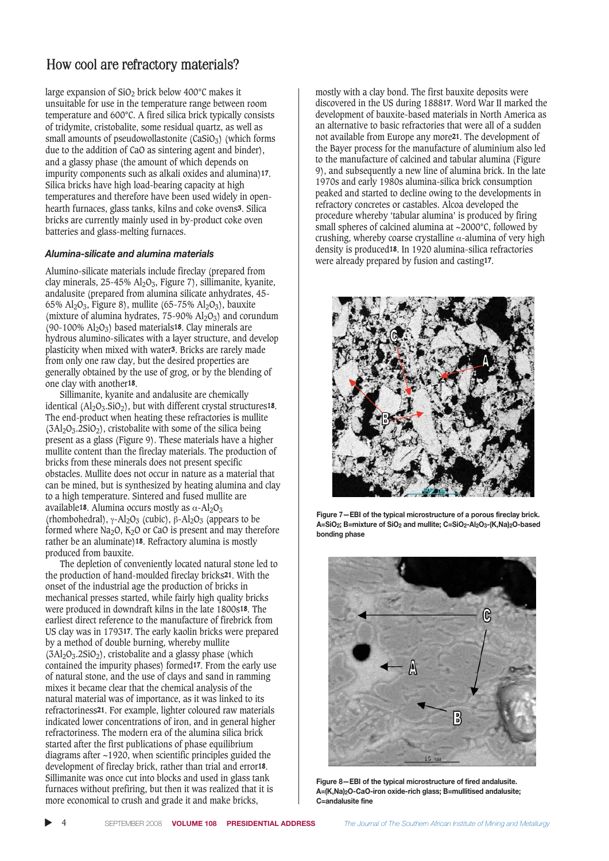large expansion of  $SiO<sub>2</sub>$  brick below 400 $^{\circ}$ C makes it unsuitable for use in the temperature range between room temperature and 600°C. A fired silica brick typically consists of tridymite, cristobalite, some residual quartz, as well as small amounts of pseudowollastonite  $(CaSiO<sub>3</sub>)$  (which forms due to the addition of CaO as sintering agent and binder), and a glassy phase (the amount of which depends on impurity components such as alkali oxides and alumina)17. Silica bricks have high load-bearing capacity at high temperatures and therefore have been used widely in openhearth furnaces, glass tanks, kilns and coke ovens<sup>3</sup>. Silica bricks are currently mainly used in by-product coke oven batteries and glass-melting furnaces.

### *Alumina-silicate and alumina materials*

Alumino-silicate materials include fireclay (prepared from clay minerals, 25-45% Al2O3, Figure 7), sillimanite, kyanite, andalusite (prepared from alumina silicate anhydrates, 45- 65%  $Al_2O_3$ , Figure 8), mullite (65-75%  $Al_2O_3$ ), bauxite (mixture of alumina hydrates,  $75-90\%$  Al<sub>2</sub>O<sub>3</sub>) and corundum (90-100%  $Al_2O_3$ ) based materials<sup>18</sup>. Clay minerals are hydrous alumino-silicates with a layer structure, and develop plasticity when mixed with water3. Bricks are rarely made from only one raw clay, but the desired properties are generally obtained by the use of grog, or by the blending of one clay with another18.

Sillimanite, kyanite and andalusite are chemically identical  $(Al_2O_3.SiO_2)$ , but with different crystal structures<sup>18</sup>. The end-product when heating these refractories is mullite  $(3Al<sub>2</sub>O<sub>3</sub>·2SiO<sub>2</sub>)$ , cristobalite with some of the silica being present as a glass (Figure 9). These materials have a higher mullite content than the fireclay materials. The production of bricks from these minerals does not present specific obstacles. Mullite does not occur in nature as a material that can be mined, but is synthesized by heating alumina and clay to a high temperature. Sintered and fused mullite are available<sup>18</sup>. Alumina occurs mostly as  $α$ -Al<sub>2</sub>O<sub>3</sub> (rhombohedral),  $\gamma$ -Al<sub>2</sub>O<sub>3</sub> (cubic),  $\beta$ -Al<sub>2</sub>O<sub>3</sub> (appears to be formed where  $Na<sub>2</sub>O$ ,  $K<sub>2</sub>O$  or CaO is present and may therefore rather be an aluminate)18. Refractory alumina is mostly produced from bauxite.

The depletion of conveniently located natural stone led to the production of hand-moulded fireclay bricks21. With the onset of the industrial age the production of bricks in mechanical presses started, while fairly high quality bricks were produced in downdraft kilns in the late 1800s18. The earliest direct reference to the manufacture of firebrick from US clay was in 179317. The early kaolin bricks were prepared by a method of double burning, whereby mullite  $(3Al<sub>2</sub>O<sub>3</sub>·2SiO<sub>2</sub>)$ , cristobalite and a glassy phase (which contained the impurity phases) formed17. From the early use of natural stone, and the use of clays and sand in ramming mixes it became clear that the chemical analysis of the natural material was of importance, as it was linked to its refractoriness21. For example, lighter coloured raw materials indicated lower concentrations of iron, and in general higher refractoriness. The modern era of the alumina silica brick started after the first publications of phase equilibrium diagrams after ~1920, when scientific principles guided the development of fireclay brick, rather than trial and error18. Sillimanite was once cut into blocks and used in glass tank furnaces without prefiring, but then it was realized that it is more economical to crush and grade it and make bricks,

mostly with a clay bond. The first bauxite deposits were discovered in the US during 188817. Word War II marked the development of bauxite-based materials in North America as an alternative to basic refractories that were all of a sudden not available from Europe any more21. The development of the Bayer process for the manufacture of aluminium also led to the manufacture of calcined and tabular alumina (Figure 9), and subsequently a new line of alumina brick. In the late 1970s and early 1980s alumina-silica brick consumption peaked and started to decline owing to the developments in refractory concretes or castables. Alcoa developed the procedure whereby 'tabular alumina' is produced by firing small spheres of calcined alumina at ~2000°C, followed by crushing, whereby coarse crystalline  $\alpha$ -alumina of very high density is produced18. In 1920 alumina-silica refractories were already prepared by fusion and casting17.



**Figure 7—EBI of the typical microstructure of a porous fireclay brick. A=SiO2; B=mixture of SiO2 and mullite; C=SiO2-Al2O3-(K,Na)2O-based bonding phase**



**Figure 8—EBI of the typical microstructure of fired andalusite. A=(K,Na)2O-CaO-iron oxide-rich glass; B=mullitised andalusite; C=andalusite fine**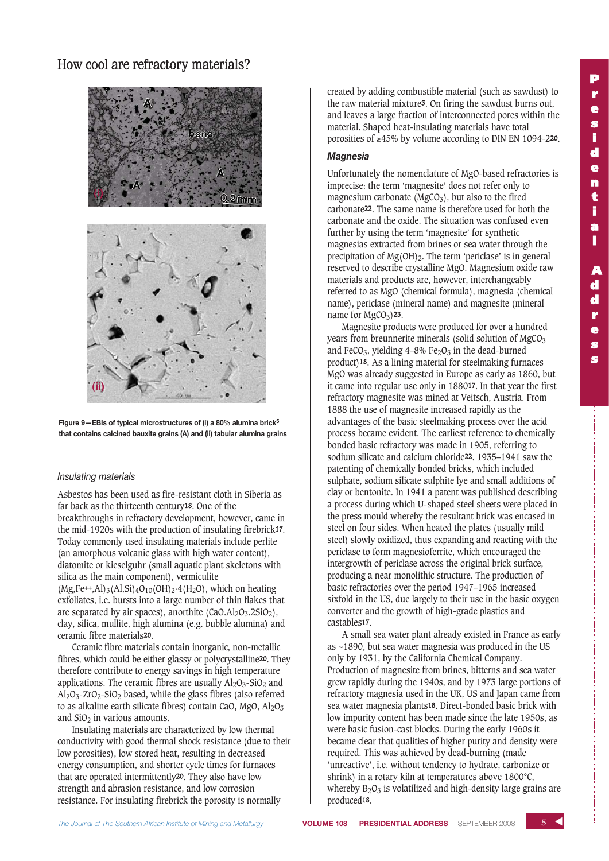

**Figure 9—EBIs of typical microstructures of (i) a 80% alumina brick5 that contains calcined bauxite grains (A) and (ii) tabular alumina grains**

### *Insulating materials*

Asbestos has been used as fire-resistant cloth in Siberia as far back as the thirteenth century18. One of the breakthroughs in refractory development, however, came in the mid-1920s with the production of insulating firebrick17. Today commonly used insulating materials include perlite (an amorphous volcanic glass with high water content), diatomite or kieselguhr (small aquatic plant skeletons with silica as the main component), vermiculite  $(Mg,Fe^{++},Al)_3(Al,Si)_4O_{10}(OH)_2.4(H_2O)$ , which on heating exfoliates, i.e. bursts into a large number of thin flakes that are separated by air spaces), anorthite  $(CaO.AI<sub>2</sub>O<sub>3</sub>, 2SiO<sub>2</sub>)$ , clay, silica, mullite, high alumina (e.g. bubble alumina) and ceramic fibre materials20.

Ceramic fibre materials contain inorganic, non-metallic fibres, which could be either glassy or polycrystalline20. They therefore contribute to energy savings in high temperature applications. The ceramic fibres are usually  $Al_2O_3-SiO_2$  and  $Al_2O_3$ -ZrO<sub>2</sub>-SiO<sub>2</sub> based, while the glass fibres (also referred to as alkaline earth silicate fibres) contain CaO, MgO,  $Al_2O_3$ and  $SiO<sub>2</sub>$  in various amounts.

Insulating materials are characterized by low thermal conductivity with good thermal shock resistance (due to their low porosities), low stored heat, resulting in decreased energy consumption, and shorter cycle times for furnaces that are operated intermittently20. They also have low strength and abrasion resistance, and low corrosion resistance. For insulating firebrick the porosity is normally

created by adding combustible material (such as sawdust) to the raw material mixture3. On firing the sawdust burns out, and leaves a large fraction of interconnected pores within the material. Shaped heat-insulating materials have total porosities of ≥45% by volume according to DIN EN 1094-220.

### *Magnesia*

Unfortunately the nomenclature of MgO-based refractories is imprecise: the term 'magnesite' does not refer only to magnesium carbonate ( $MgCO<sub>3</sub>$ ), but also to the fired carbonate22. The same name is therefore used for both the carbonate and the oxide. The situation was confused even further by using the term 'magnesite' for synthetic magnesias extracted from brines or sea water through the precipitation of  $Mg(OH)_{2}$ . The term 'periclase' is in general reserved to describe crystalline MgO. Magnesium oxide raw materials and products are, however, interchangeably referred to as MgO (chemical formula), magnesia (chemical name), periclase (mineral name) and magnesite (mineral name for  $MgCO<sub>3</sub>$ )23.

Magnesite products were produced for over a hundred years from breunnerite minerals (solid solution of  $MgCO<sub>3</sub>$ ) and FeCO<sub>3</sub>, yielding  $4-8\%$  Fe<sub>2</sub>O<sub>3</sub> in the dead-burned product)18. As a lining material for steelmaking furnaces MgO was already suggested in Europe as early as 1860, but it came into regular use only in 188017. In that year the first refractory magnesite was mined at Veitsch, Austria. From 1888 the use of magnesite increased rapidly as the advantages of the basic steelmaking process over the acid process became evident. The earliest reference to chemically bonded basic refractory was made in 1905, referring to sodium silicate and calcium chloride22. 1935–1941 saw the patenting of chemically bonded bricks, which included sulphate, sodium silicate sulphite lye and small additions of clay or bentonite. In 1941 a patent was published describing a process during which U-shaped steel sheets were placed in the press mould whereby the resultant brick was encased in steel on four sides. When heated the plates (usually mild steel) slowly oxidized, thus expanding and reacting with the periclase to form magnesioferrite, which encouraged the intergrowth of periclase across the original brick surface, producing a near monolithic structure. The production of basic refractories over the period 1947–1965 increased sixfold in the US, due largely to their use in the basic oxygen converter and the growth of high-grade plastics and castables17.

A small sea water plant already existed in France as early as ~1890, but sea water magnesia was produced in the US only by 1931, by the California Chemical Company. Production of magnesite from brines, bitterns and sea water grew rapidly during the 1940s, and by 1973 large portions of refractory magnesia used in the UK, US and Japan came from sea water magnesia plants18. Direct-bonded basic brick with low impurity content has been made since the late 1950s, as were basic fusion-cast blocks. During the early 1960s it became clear that qualities of higher purity and density were required. This was achieved by dead-burning (made 'unreactive', i.e. without tendency to hydrate, carbonize or shrink) in a rotary kiln at temperatures above 1800°C, whereby  $B_2O_3$  is volatilized and high-density large grains are produced18.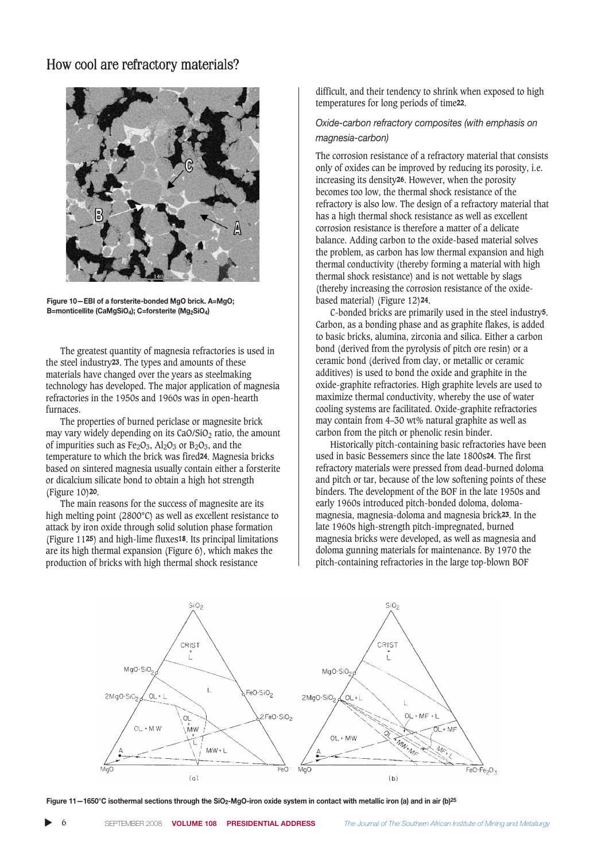

**Figure 10—EBI of a forsterite-bonded MgO brick. A=MgO; B=monticellite (CaMgSiO4); C=forsterite (Mg2SiO4)**

The greatest quantity of magnesia refractories is used in the steel industry23. The types and amounts of these materials have changed over the years as steelmaking technology has developed. The major application of magnesia refractories in the 1950s and 1960s was in open-hearth furnaces.

The properties of burned periclase or magnesite brick may vary widely depending on its  $CaO/SiO<sub>2</sub>$  ratio, the amount of impurities such as  $Fe<sub>2</sub>O<sub>3</sub>$ , Al<sub>2</sub>O<sub>3</sub> or B<sub>2</sub>O<sub>3</sub>, and the temperature to which the brick was fired24. Magnesia bricks based on sintered magnesia usually contain either a forsterite or dicalcium silicate bond to obtain a high hot strength (Figure 10)20.

The main reasons for the success of magnesite are its high melting point (2800°C) as well as excellent resistance to attack by iron oxide through solid solution phase formation (Figure 1125) and high-lime fluxes18. Its principal limitations are its high thermal expansion (Figure 6), which makes the production of bricks with high thermal shock resistance

difficult, and their tendency to shrink when exposed to high temperatures for long periods of time22.

### *Oxide-carbon refractory composites (with emphasis on magnesia-carbon)*

The corrosion resistance of a refractory material that consists only of oxides can be improved by reducing its porosity, i.e. increasing its density26. However, when the porosity becomes too low, the thermal shock resistance of the refractory is also low. The design of a refractory material that has a high thermal shock resistance as well as excellent corrosion resistance is therefore a matter of a delicate balance. Adding carbon to the oxide-based material solves the problem, as carbon has low thermal expansion and high thermal conductivity (thereby forming a material with high thermal shock resistance) and is not wettable by slags (thereby increasing the corrosion resistance of the oxidebased material) (Figure 12)24.

C-bonded bricks are primarily used in the steel industry5. Carbon, as a bonding phase and as graphite flakes, is added to basic bricks, alumina, zirconia and silica. Either a carbon bond (derived from the pyrolysis of pitch ore resin) or a ceramic bond (derived from clay, or metallic or ceramic additives) is used to bond the oxide and graphite in the oxide-graphite refractories. High graphite levels are used to maximize thermal conductivity, whereby the use of water cooling systems are facilitated. Oxide-graphite refractories may contain from 4–30 wt% natural graphite as well as carbon from the pitch or phenolic resin binder.

Historically pitch-containing basic refractories have been used in basic Bessemers since the late 1800s24. The first refractory materials were pressed from dead-burned doloma and pitch or tar, because of the low softening points of these binders. The development of the BOF in the late 1950s and early 1960s introduced pitch-bonded doloma, dolomamagnesia, magnesia-doloma and magnesia brick23. In the late 1960s high-strength pitch-impregnated, burned magnesia bricks were developed, as well as magnesia and doloma gunning materials for maintenance. By 1970 the pitch-containing refractories in the large top-blown BOF



**Figure 11—1650°C isothermal sections through the SiO2-MgO-iron oxide system in contact with metallic iron (a) and in air (b)25**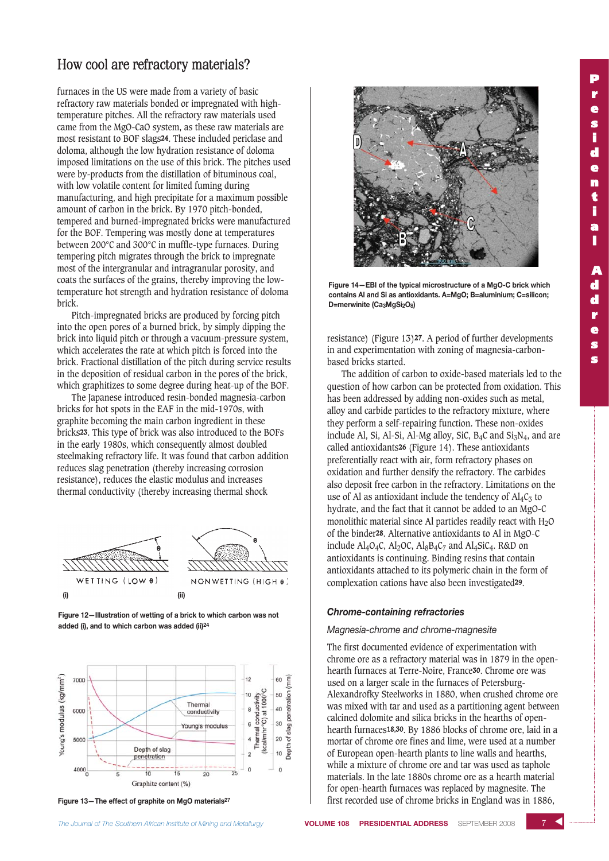furnaces in the US were made from a variety of basic refractory raw materials bonded or impregnated with hightemperature pitches. All the refractory raw materials used came from the MgO-CaO system, as these raw materials are most resistant to BOF slags24. These included periclase and doloma, although the low hydration resistance of doloma imposed limitations on the use of this brick. The pitches used were by-products from the distillation of bituminous coal, with low volatile content for limited fuming during manufacturing, and high precipitate for a maximum possible amount of carbon in the brick. By 1970 pitch-bonded, tempered and burned-impregnated bricks were manufactured for the BOF. Tempering was mostly done at temperatures between 200°C and 300°C in muffle-type furnaces. During tempering pitch migrates through the brick to impregnate most of the intergranular and intragranular porosity, and coats the surfaces of the grains, thereby improving the lowtemperature hot strength and hydration resistance of doloma brick.

Pitch-impregnated bricks are produced by forcing pitch into the open pores of a burned brick, by simply dipping the brick into liquid pitch or through a vacuum-pressure system, which accelerates the rate at which pitch is forced into the brick. Fractional distillation of the pitch during service results in the deposition of residual carbon in the pores of the brick, which graphitizes to some degree during heat-up of the BOF.

The Japanese introduced resin-bonded magnesia-carbon bricks for hot spots in the EAF in the mid-1970s, with graphite becoming the main carbon ingredient in these bricks23. This type of brick was also introduced to the BOFs in the early 1980s, which consequently almost doubled steelmaking refractory life. It was found that carbon addition reduces slag penetration (thereby increasing corrosion resistance), reduces the elastic modulus and increases thermal conductivity (thereby increasing thermal shock



**Figure 12—Illustration of wetting of a brick to which carbon was not added (i), and to which carbon was added (ii)24**



**Figure 13—The effect of graphite on MgO materials27**



**Figure 14—EBI of the typical microstructure of a MgO-C brick which contains Al and Si as antioxidants. A=MgO; B=aluminium; C=silicon; D=merwinite (Ca3MgSi2O8)**

resistance) (Figure 13)27. A period of further developments in and experimentation with zoning of magnesia-carbonbased bricks started.

The addition of carbon to oxide-based materials led to the question of how carbon can be protected from oxidation. This has been addressed by adding non-oxides such as metal, alloy and carbide particles to the refractory mixture, where they perform a self-repairing function. These non-oxides include Al, Si, Al-Si, Al-Mg alloy, SiC, B<sub>4</sub>C and Si<sub>3</sub>N<sub>4</sub>, and are called antioxidants26 (Figure 14). These antioxidants preferentially react with air, form refractory phases on oxidation and further densify the refractory. The carbides also deposit free carbon in the refractory. Limitations on the use of Al as antioxidant include the tendency of  $Al_4C_3$  to hydrate, and the fact that it cannot be added to an MgO-C monolithic material since Al particles readily react with  $H_2O$ of the binder28. Alternative antioxidants to Al in MgO-C include  $\text{Al}_4\text{O}_4\text{C}$ ,  $\text{Al}_2\text{O}\text{C}$ ,  $\text{Al}_8\text{B}_4\text{C}_7$  and  $\text{Al}_4\text{SiC}_4$ . R&D on antioxidants is continuing. Binding resins that contain antioxidants attached to its polymeric chain in the form of complexation cations have also been investigated29.

### *Chrome-containing refractories*

#### *Magnesia-chrome and chrome-magnesite*

The first documented evidence of experimentation with chrome ore as a refractory material was in 1879 in the openhearth furnaces at Terre-Noire, France30. Chrome ore was used on a larger scale in the furnaces of Petersburg-Alexandrofky Steelworks in 1880, when crushed chrome ore was mixed with tar and used as a partitioning agent between calcined dolomite and silica bricks in the hearths of openhearth furnaces18,30. By 1886 blocks of chrome ore, laid in a mortar of chrome ore fines and lime, were used at a number of European open-hearth plants to line walls and hearths, while a mixture of chrome ore and tar was used as taphole materials. In the late 1880s chrome ore as a hearth material for open-hearth furnaces was replaced by magnesite. The first recorded use of chrome bricks in England was in 1886,

 $7<sub>2</sub>$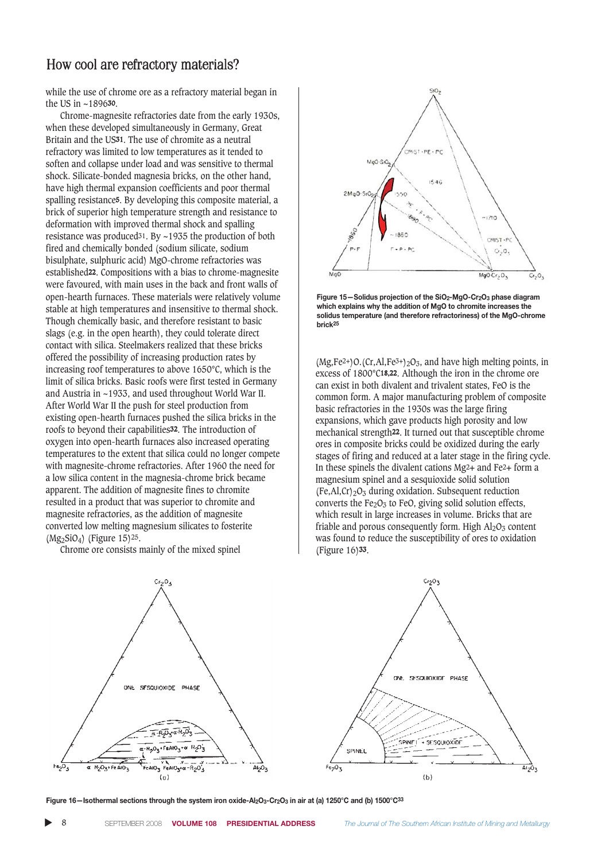while the use of chrome ore as a refractory material began in the US in ~189630.

Chrome-magnesite refractories date from the early 1930s, when these developed simultaneously in Germany, Great Britain and the US31. The use of chromite as a neutral refractory was limited to low temperatures as it tended to soften and collapse under load and was sensitive to thermal shock. Silicate-bonded magnesia bricks, on the other hand, have high thermal expansion coefficients and poor thermal spalling resistance5. By developing this composite material, a brick of superior high temperature strength and resistance to deformation with improved thermal shock and spalling resistance was produced<sup>31</sup>. By  $\sim$ 1935 the production of both fired and chemically bonded (sodium silicate, sodium bisulphate, sulphuric acid) MgO-chrome refractories was established22. Compositions with a bias to chrome-magnesite were favoured, with main uses in the back and front walls of open-hearth furnaces. These materials were relatively volume stable at high temperatures and insensitive to thermal shock. Though chemically basic, and therefore resistant to basic slags (e.g. in the open hearth), they could tolerate direct contact with silica. Steelmakers realized that these bricks offered the possibility of increasing production rates by increasing roof temperatures to above 1650°C, which is the limit of silica bricks. Basic roofs were first tested in Germany and Austria in ~1933, and used throughout World War II. After World War II the push for steel production from existing open-hearth furnaces pushed the silica bricks in the roofs to beyond their capabilities32. The introduction of oxygen into open-hearth furnaces also increased operating temperatures to the extent that silica could no longer compete with magnesite-chrome refractories. After 1960 the need for a low silica content in the magnesia-chrome brick became apparent. The addition of magnesite fines to chromite resulted in a product that was superior to chromite and magnesite refractories, as the addition of magnesite converted low melting magnesium silicates to fosterite (Mg2SiO4) (Figure 15)25.

Chrome ore consists mainly of the mixed spinel





**Figure 15—Solidus projection of the SiO2-MgO-Cr2O3 phase diagram which explains why the addition of MgO to chromite increases the solidus temperature (and therefore refractoriness) of the MgO-chrome brick25**

 $(Mg.Fe<sup>2+</sup>)O.(Cr.AI.Fe<sup>3+</sup>)<sub>2</sub>O<sub>3</sub>$ , and have high melting points, in excess of 1800°C18,22. Although the iron in the chrome ore can exist in both divalent and trivalent states, FeO is the common form. A major manufacturing problem of composite basic refractories in the 1930s was the large firing expansions, which gave products high porosity and low mechanical strength22. It turned out that susceptible chrome ores in composite bricks could be oxidized during the early stages of firing and reduced at a later stage in the firing cycle. In these spinels the divalent cations  $Mg^2$  and  $Fe^2$  form a magnesium spinel and a sesquioxide solid solution  $(Fe, Al, Cr)_{2}O_{3}$  during oxidation. Subsequent reduction converts the  $Fe<sub>2</sub>O<sub>3</sub>$  to FeO, giving solid solution effects, which result in large increases in volume. Bricks that are friable and porous consequently form. High  $Al_2O_3$  content was found to reduce the susceptibility of ores to oxidation (Figure 16)33.



**Figure 16—Isothermal sections through the system iron oxide-Al2O3-Cr2O3 in air at (a) 1250°C and (b) 1500°C33**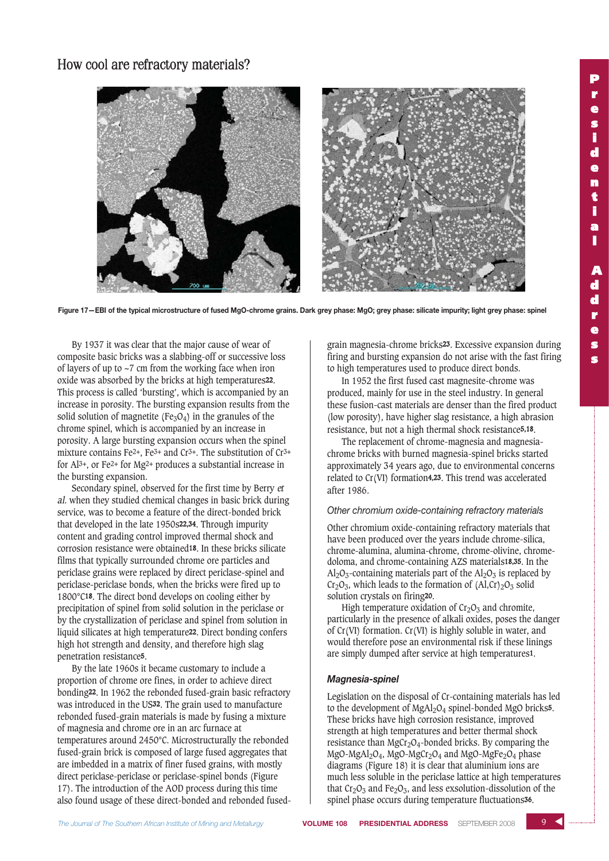

**Figure 17—EBI of the typical microstructure of fused MgO-chrome grains. Dark grey phase: MgO; grey phase: silicate impurity; light grey phase: spinel**

By 1937 it was clear that the major cause of wear of composite basic bricks was a slabbing-off or successive loss of layers of up to ~7 cm from the working face when iron oxide was absorbed by the bricks at high temperatures22. This process is called 'bursting', which is accompanied by an increase in porosity. The bursting expansion results from the solid solution of magnetite ( $Fe<sub>3</sub>O<sub>4</sub>$ ) in the granules of the chrome spinel, which is accompanied by an increase in porosity. A large bursting expansion occurs when the spinel mixture contains Fe2+, Fe3+ and Cr3+. The substitution of Cr3+ for Al3+, or Fe2+ for Mg2+ produces a substantial increase in the bursting expansion.

Secondary spinel, observed for the first time by Berry et al. when they studied chemical changes in basic brick during service, was to become a feature of the direct-bonded brick that developed in the late 1950s22,34. Through impurity content and grading control improved thermal shock and corrosion resistance were obtained18. In these bricks silicate films that typically surrounded chrome ore particles and periclase grains were replaced by direct periclase-spinel and periclase-periclase bonds, when the bricks were fired up to 1800°C18. The direct bond develops on cooling either by precipitation of spinel from solid solution in the periclase or by the crystallization of periclase and spinel from solution in liquid silicates at high temperature22. Direct bonding confers high hot strength and density, and therefore high slag penetration resistance5.

By the late 1960s it became customary to include a proportion of chrome ore fines, in order to achieve direct bonding22. In 1962 the rebonded fused-grain basic refractory was introduced in the US32. The grain used to manufacture rebonded fused-grain materials is made by fusing a mixture of magnesia and chrome ore in an arc furnace at temperatures around 2450°C. Microstructurally the rebonded fused-grain brick is composed of large fused aggregates that are imbedded in a matrix of finer fused grains, with mostly direct periclase-periclase or periclase-spinel bonds (Figure 17). The introduction of the AOD process during this time also found usage of these direct-bonded and rebonded fusedgrain magnesia-chrome bricks23. Excessive expansion during firing and bursting expansion do not arise with the fast firing to high temperatures used to produce direct bonds.

In 1952 the first fused cast magnesite-chrome was produced, mainly for use in the steel industry. In general these fusion-cast materials are denser than the fired product (low porosity), have higher slag resistance, a high abrasion resistance, but not a high thermal shock resistance5,18.

The replacement of chrome-magnesia and magnesiachrome bricks with burned magnesia-spinel bricks started approximately 34 years ago, due to environmental concerns related to Cr(VI) formation4,23. This trend was accelerated after 1986.

### *Other chromium oxide-containing refractory materials*

Other chromium oxide-containing refractory materials that have been produced over the years include chrome-silica, chrome-alumina, alumina-chrome, chrome-olivine, chromedoloma, and chrome-containing AZS materials18,35. In the  $Al_2O_3$ -containing materials part of the  $Al_2O_3$  is replaced by  $Cr<sub>2</sub>O<sub>3</sub>$ , which leads to the formation of  $(Al, Cr)<sub>2</sub>O<sub>3</sub>$  solid solution crystals on firing20.

High temperature oxidation of  $Cr<sub>2</sub>O<sub>3</sub>$  and chromite, particularly in the presence of alkali oxides, poses the danger of Cr(VI) formation. Cr(VI) is highly soluble in water, and would therefore pose an environmental risk if these linings are simply dumped after service at high temperatures1.

### *Magnesia-spinel*

Legislation on the disposal of Cr-containing materials has led to the development of MgAl<sub>2</sub>O<sub>4</sub> spinel-bonded MgO bricks<sup>5</sup>. These bricks have high corrosion resistance, improved strength at high temperatures and better thermal shock resistance than  $MgCr_2O_4$ -bonded bricks. By comparing the MgO-MgAl<sub>2</sub>O<sub>4</sub>, MgO-MgCr<sub>2</sub>O<sub>4</sub> and MgO-MgFe<sub>2</sub>O<sub>4</sub> phase diagrams (Figure 18) it is clear that aluminium ions are much less soluble in the periclase lattice at high temperatures that  $Cr_2O_3$  and  $Fe_2O_3$ , and less exsolution-dissolution of the spinel phase occurs during temperature fluctuations<sup>36</sup>.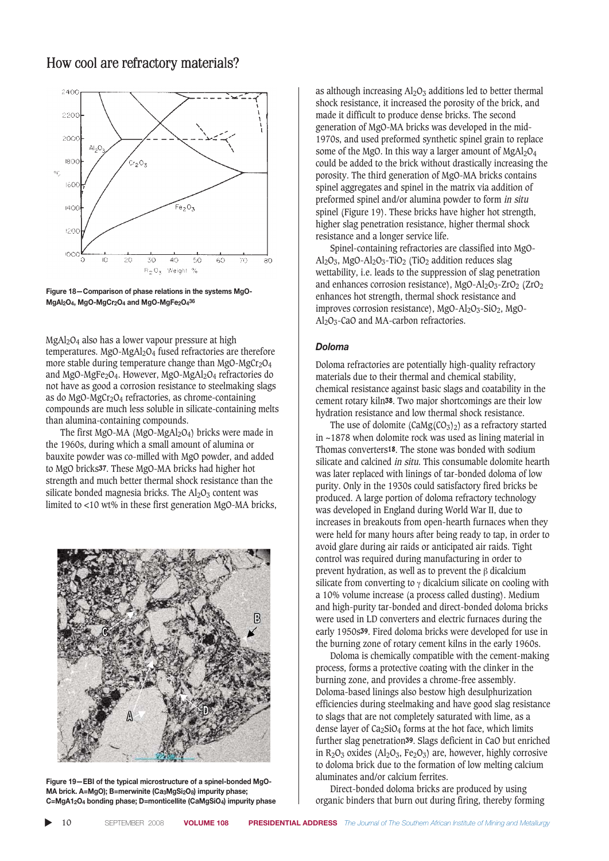

**Figure 18—Comparison of phase relations in the systems MgO-MgAl2O4, MgO-MgCr2O4 and MgO-MgFe2O436**

MgAl2O4 also has a lower vapour pressure at high temperatures. MgO-MgAl<sub>2</sub>O<sub>4</sub> fused refractories are therefore more stable during temperature change than  $MgO-MgCr<sub>2</sub>O<sub>4</sub>$ and MgO-MgFe2O4. However, MgO-MgAl2O4 refractories do not have as good a corrosion resistance to steelmaking slags as do MgO-MgCr<sub>2</sub>O<sub>4</sub> refractories, as chrome-containing compounds are much less soluble in silicate-containing melts than alumina-containing compounds.

The first MgO-MA (MgO-MgAl<sub>2</sub>O<sub>4</sub>) bricks were made in the 1960s, during which a small amount of alumina or bauxite powder was co-milled with MgO powder, and added to MgO bricks37. These MgO-MA bricks had higher hot strength and much better thermal shock resistance than the silicate bonded magnesia bricks. The  $Al_2O_3$  content was limited to <10 wt% in these first generation MgO-MA bricks,



**Figure 19—EBI of the typical microstructure of a spinel-bonded MgO-**MA brick. A=MgO); B=merwinite (Ca<sub>3</sub>MgSi<sub>2</sub>O<sub>8</sub>) impurity phase; **C=MgA12O4 bonding phase; D=monticellite (CaMgSiO4) impurity phase**

as although increasing  $Al_2O_3$  additions led to better thermal shock resistance, it increased the porosity of the brick, and made it difficult to produce dense bricks. The second generation of MgO-MA bricks was developed in the mid-1970s, and used preformed synthetic spinel grain to replace some of the MgO. In this way a larger amount of  $MgAl<sub>2</sub>O<sub>4</sub>$ could be added to the brick without drastically increasing the porosity. The third generation of MgO-MA bricks contains spinel aggregates and spinel in the matrix via addition of preformed spinel and/or alumina powder to form in situ spinel (Figure 19). These bricks have higher hot strength, higher slag penetration resistance, higher thermal shock resistance and a longer service life.

Spinel-containing refractories are classified into MgO-Al<sub>2</sub>O<sub>3</sub>, MgO-Al<sub>2</sub>O<sub>3</sub>-TiO<sub>2</sub> (TiO<sub>2</sub> addition reduces slag wettability, i.e. leads to the suppression of slag penetration and enhances corrosion resistance), MgO-Al<sub>2</sub>O<sub>3</sub>-ZrO<sub>2</sub> (ZrO<sub>2</sub>) enhances hot strength, thermal shock resistance and improves corrosion resistance),  $MgO-Al_2O_3-SiO_2$ ,  $MgO A<sub>2</sub>O<sub>3</sub>$ -CaO and MA-carbon refractories.

#### *Doloma*

Doloma refractories are potentially high-quality refractory materials due to their thermal and chemical stability, chemical resistance against basic slags and coatability in the cement rotary kiln38. Two major shortcomings are their low hydration resistance and low thermal shock resistance.

The use of dolomite  $(CaMg(CO_3)_2)$  as a refractory started in ~1878 when dolomite rock was used as lining material in Thomas converters18. The stone was bonded with sodium silicate and calcined *in situ*. This consumable dolomite hearth was later replaced with linings of tar-bonded doloma of low purity. Only in the 1930s could satisfactory fired bricks be produced. A large portion of doloma refractory technology was developed in England during World War II, due to increases in breakouts from open-hearth furnaces when they were held for many hours after being ready to tap, in order to avoid glare during air raids or anticipated air raids. Tight control was required during manufacturing in order to prevent hydration, as well as to prevent the β dicalcium silicate from converting to  $\gamma$  dicalcium silicate on cooling with a 10% volume increase (a process called dusting). Medium and high-purity tar-bonded and direct-bonded doloma bricks were used in LD converters and electric furnaces during the early 1950s39. Fired doloma bricks were developed for use in the burning zone of rotary cement kilns in the early 1960s.

Doloma is chemically compatible with the cement-making process, forms a protective coating with the clinker in the burning zone, and provides a chrome-free assembly. Doloma-based linings also bestow high desulphurization efficiencies during steelmaking and have good slag resistance to slags that are not completely saturated with lime, as a dense layer of  $Ca<sub>2</sub>SiO<sub>4</sub>$  forms at the hot face, which limits further slag penetration39. Slags deficient in CaO but enriched in  $R_2O_3$  oxides (Al<sub>2</sub>O<sub>3</sub>, Fe<sub>2</sub>O<sub>3</sub>) are, however, highly corrosive to doloma brick due to the formation of low melting calcium aluminates and/or calcium ferrites.

Direct-bonded doloma bricks are produced by using organic binders that burn out during firing, thereby forming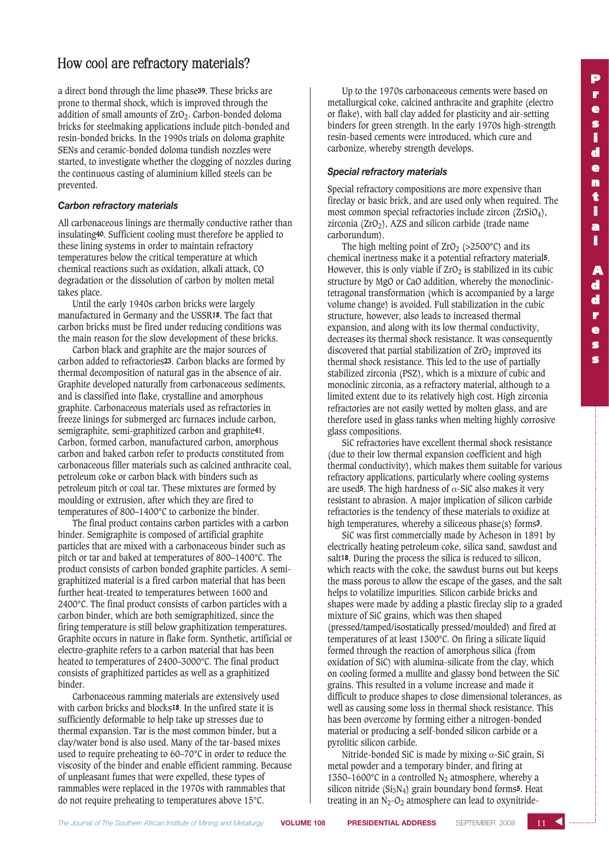a direct bond through the lime phase39. These bricks are prone to thermal shock, which is improved through the addition of small amounts of  $ZrO<sub>2</sub>$ . Carbon-bonded doloma bricks for steelmaking applications include pitch-bonded and resin-bonded bricks. In the 1990s trials on doloma graphite SENs and ceramic-bonded doloma tundish nozzles were started, to investigate whether the clogging of nozzles during the continuous casting of aluminium killed steels can be prevented.

### *Carbon refractory materials*

All carbonaceous linings are thermally conductive rather than insulating40. Sufficient cooling must therefore be applied to these lining systems in order to maintain refractory temperatures below the critical temperature at which chemical reactions such as oxidation, alkali attack, CO degradation or the dissolution of carbon by molten metal takes place.

Until the early 1940s carbon bricks were largely manufactured in Germany and the USSR18. The fact that carbon bricks must be fired under reducing conditions was the main reason for the slow development of these bricks.

Carbon black and graphite are the major sources of carbon added to refractories23. Carbon blacks are formed by thermal decomposition of natural gas in the absence of air. Graphite developed naturally from carbonaceous sediments, and is classified into flake, crystalline and amorphous graphite. Carbonaceous materials used as refractories in freeze linings for submerged arc furnaces include carbon, semigraphite, semi-graphitized carbon and graphite41. Carbon, formed carbon, manufactured carbon, amorphous carbon and baked carbon refer to products constituted from carbonaceous filler materials such as calcined anthracite coal, petroleum coke or carbon black with binders such as petroleum pitch or coal tar. These mixtures are formed by moulding or extrusion, after which they are fired to temperatures of 800–1400°C to carbonize the binder.

The final product contains carbon particles with a carbon binder. Semigraphite is composed of artificial graphite particles that are mixed with a carbonaceous binder such as pitch or tar and baked at temperatures of 800–1400°C. The product consists of carbon bonded graphite particles. A semigraphitized material is a fired carbon material that has been further heat-treated to temperatures between 1600 and 2400°C. The final product consists of carbon particles with a carbon binder, which are both semigraphitized, since the firing temperature is still below graphitization temperatures. Graphite occurs in nature in flake form. Synthetic, artificial or electro-graphite refers to a carbon material that has been heated to temperatures of 2400–3000°C. The final product consists of graphitized particles as well as a graphitized binder.

Carbonaceous ramming materials are extensively used with carbon bricks and blocks18. In the unfired state it is sufficiently deformable to help take up stresses due to thermal expansion. Tar is the most common binder, but a clay/water bond is also used. Many of the tar-based mixes used to require preheating to 60–70°C in order to reduce the viscosity of the binder and enable efficient ramming. Because of unpleasant fumes that were expelled, these types of rammables were replaced in the 1970s with rammables that do not require preheating to temperatures above 15°C.

Up to the 1970s carbonaceous cements were based on metallurgical coke, calcined anthracite and graphite (electro or flake), with ball clay added for plasticity and air-setting binders for green strength. In the early 1970s high-strength resin-based cements were introduced, which cure and carbonize, whereby strength develops.

### *Special refractory materials*

Special refractory compositions are more expensive than fireclay or basic brick, and are used only when required. The most common special refractories include zircon (ZrSiO4), zirconia  $(ZrO<sub>2</sub>)$ , AZS and silicon carbide (trade name carborundum).

The high melting point of  $ZrO<sub>2</sub>$  (>2500°C) and its chemical inertness make it a potential refractory material5. However, this is only viable if  $ZrO<sub>2</sub>$  is stabilized in its cubic structure by MgO or CaO addition, whereby the monoclinictetragonal transformation (which is accompanied by a large volume change) is avoided. Full stabilization in the cubic structure, however, also leads to increased thermal expansion, and along with its low thermal conductivity, decreases its thermal shock resistance. It was consequently discovered that partial stabilization of  $ZrO<sub>2</sub>$  improved its thermal shock resistance. This led to the use of partially stabilized zirconia (PSZ), which is a mixture of cubic and monoclinic zirconia, as a refractory material, although to a limited extent due to its relatively high cost. High zirconia refractories are not easily wetted by molten glass, and are therefore used in glass tanks when melting highly corrosive glass compositions.

SiC refractories have excellent thermal shock resistance (due to their low thermal expansion coefficient and high thermal conductivity), which makes them suitable for various refractory applications, particularly where cooling systems are used5. The high hardness of α-SiC also makes it very resistant to abrasion. A major implication of silicon carbide refractories is the tendency of these materials to oxidize at high temperatures, whereby a siliceous phase(s) forms3.

SiC was first commercially made by Acheson in 1891 by electrically heating petroleum coke, silica sand, sawdust and salt18. During the process the silica is reduced to silicon, which reacts with the coke, the sawdust burns out but keeps the mass porous to allow the escape of the gases, and the salt helps to volatilize impurities. Silicon carbide bricks and shapes were made by adding a plastic fireclay slip to a graded mixture of SiC grains, which was then shaped (pressed/tamped/isostatically pressed/moulded) and fired at temperatures of at least 1300°C. On firing a silicate liquid formed through the reaction of amorphous silica (from oxidation of SiC) with alumina-silicate from the clay, which on cooling formed a mullite and glassy bond between the SiC grains. This resulted in a volume increase and made it difficult to produce shapes to close dimensional tolerances, as well as causing some loss in thermal shock resistance. This has been overcome by forming either a nitrogen-bonded material or producing a self-bonded silicon carbide or a pyrolitic silicon carbide.

Nitride-bonded SiC is made by mixing  $\alpha$ -SiC grain, Si metal powder and a temporary binder, and firing at 1350–1600 $^{\circ}$ C in a controlled N<sub>2</sub> atmosphere, whereby a silicon nitride  $(Si<sub>3</sub>N<sub>4</sub>)$  grain boundary bond forms<sup>5</sup>. Heat treating in an  $N_2$ -O<sub>2</sub> atmosphere can lead to oxynitride-

 $11 \sim$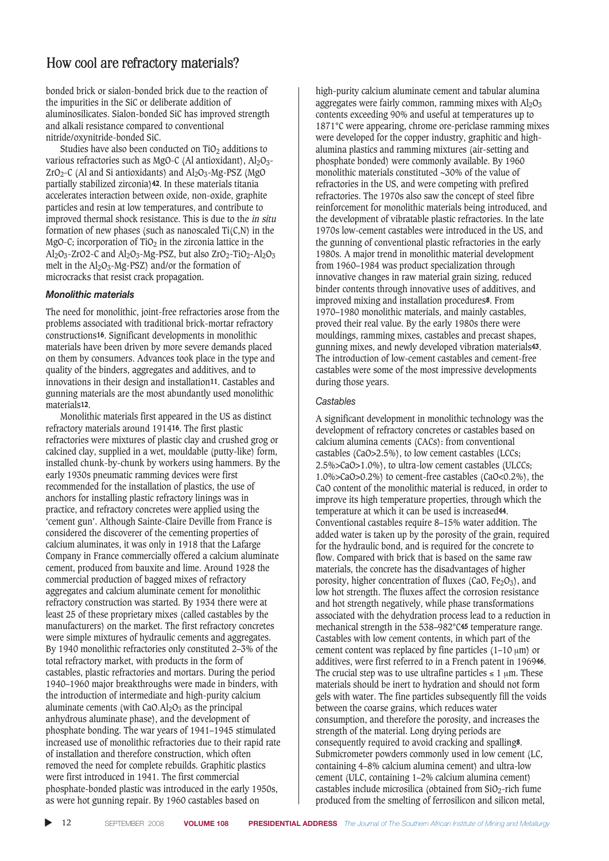bonded brick or sialon-bonded brick due to the reaction of the impurities in the SiC or deliberate addition of aluminosilicates. Sialon-bonded SiC has improved strength and alkali resistance compared to conventional nitride/oxynitride-bonded SiC.

Studies have also been conducted on  $TiO<sub>2</sub>$  additions to various refractories such as MgO-C (Al antioxidant),  $Al_2O_3$ - $ZrO<sub>2</sub>-C$  (Al and Si antioxidants) and  $Al<sub>2</sub>O<sub>3</sub>$ -Mg-PSZ (MgO partially stabilized zirconia)42. In these materials titania accelerates interaction between oxide, non-oxide, graphite particles and resin at low temperatures, and contribute to improved thermal shock resistance. This is due to the in situ formation of new phases (such as nanoscaled Ti(C,N) in the MgO-C; incorporation of  $TiO<sub>2</sub>$  in the zirconia lattice in the Al<sub>2</sub>O<sub>3</sub>-ZrO2-C and Al<sub>2</sub>O<sub>3</sub>-Mg-PSZ, but also ZrO<sub>2</sub>-TiO<sub>2</sub>-Al<sub>2</sub>O<sub>3</sub> melt in the  $Al_2O_3-Mg-PSZ$ ) and/or the formation of microcracks that resist crack propagation.

### *Monolithic materials*

The need for monolithic, joint-free refractories arose from the problems associated with traditional brick-mortar refractory constructions16. Significant developments in monolithic materials have been driven by more severe demands placed on them by consumers. Advances took place in the type and quality of the binders, aggregates and additives, and to innovations in their design and installation11. Castables and gunning materials are the most abundantly used monolithic materials12.

Monolithic materials first appeared in the US as distinct refractory materials around 191416. The first plastic refractories were mixtures of plastic clay and crushed grog or calcined clay, supplied in a wet, mouldable (putty-like) form, installed chunk-by-chunk by workers using hammers. By the early 1930s pneumatic ramming devices were first recommended for the installation of plastics, the use of anchors for installing plastic refractory linings was in practice, and refractory concretes were applied using the 'cement gun'. Although Sainte-Claire Deville from France is considered the discoverer of the cementing properties of calcium aluminates, it was only in 1918 that the Lafarge Company in France commercially offered a calcium aluminate cement, produced from bauxite and lime. Around 1928 the commercial production of bagged mixes of refractory aggregates and calcium aluminate cement for monolithic refractory construction was started. By 1934 there were at least 25 of these proprietary mixes (called castables by the manufacturers) on the market. The first refractory concretes were simple mixtures of hydraulic cements and aggregates. By 1940 monolithic refractories only constituted 2–3% of the total refractory market, with products in the form of castables, plastic refractories and mortars. During the period 1940–1960 major breakthroughs were made in binders, with the introduction of intermediate and high-purity calcium aluminate cements (with  $CaO.AI<sub>2</sub>O<sub>3</sub>$  as the principal anhydrous aluminate phase), and the development of phosphate bonding. The war years of 1941–1945 stimulated increased use of monolithic refractories due to their rapid rate of installation and therefore construction, which often removed the need for complete rebuilds. Graphitic plastics were first introduced in 1941. The first commercial phosphate-bonded plastic was introduced in the early 1950s, as were hot gunning repair. By 1960 castables based on

high-purity calcium aluminate cement and tabular alumina aggregates were fairly common, ramming mixes with  $Al_2O_3$ contents exceeding 90% and useful at temperatures up to 1871°C were appearing, chrome ore-periclase ramming mixes were developed for the copper industry, graphitic and highalumina plastics and ramming mixtures (air-setting and phosphate bonded) were commonly available. By 1960 monolithic materials constituted ~30% of the value of refractories in the US, and were competing with prefired refractories. The 1970s also saw the concept of steel fibre reinforcement for monolithic materials being introduced, and the development of vibratable plastic refractories. In the late 1970s low-cement castables were introduced in the US, and the gunning of conventional plastic refractories in the early 1980s. A major trend in monolithic material development from 1960–1984 was product specialization through innovative changes in raw material grain sizing, reduced binder contents through innovative uses of additives, and improved mixing and installation procedures8. From 1970–1980 monolithic materials, and mainly castables, proved their real value. By the early 1980s there were mouldings, ramming mixes, castables and precast shapes, gunning mixes, and newly developed vibration materials43. The introduction of low-cement castables and cement-free castables were some of the most impressive developments during those years.

### *Castables*

A significant development in monolithic technology was the development of refractory concretes or castables based on calcium alumina cements (CACs): from conventional castables (CaO>2.5%), to low cement castables (LCCs; 2.5%>CaO>1.0%), to ultra-low cement castables (ULCCs; 1.0%>CaO>0.2%) to cement-free castables (CaO<0.2%), the CaO content of the monolithic material is reduced, in order to improve its high temperature properties, through which the temperature at which it can be used is increased44. Conventional castables require 8–15% water addition. The added water is taken up by the porosity of the grain, required for the hydraulic bond, and is required for the concrete to flow. Compared with brick that is based on the same raw materials, the concrete has the disadvantages of higher porosity, higher concentration of fluxes (CaO, Fe<sub>2</sub>O<sub>3</sub>), and low hot strength. The fluxes affect the corrosion resistance and hot strength negatively, while phase transformations associated with the dehydration process lead to a reduction in mechanical strength in the 538–982°C45 temperature range. Castables with low cement contents, in which part of the cement content was replaced by fine particles (1–10 μm) or additives, were first referred to in a French patent in 196946. The crucial step was to use ultrafine particles  $\leq 1$  µm. These materials should be inert to hydration and should not form gels with water. The fine particles subsequently fill the voids between the coarse grains, which reduces water consumption, and therefore the porosity, and increases the strength of the material. Long drying periods are consequently required to avoid cracking and spalling8. Submicrometer powders commonly used in low cement (LC, containing 4–8% calcium alumina cement) and ultra-low cement (ULC, containing 1–2% calcium alumina cement) castables include microsilica (obtained from  $SiO<sub>2</sub>$ -rich fume produced from the smelting of ferrosilicon and silicon metal,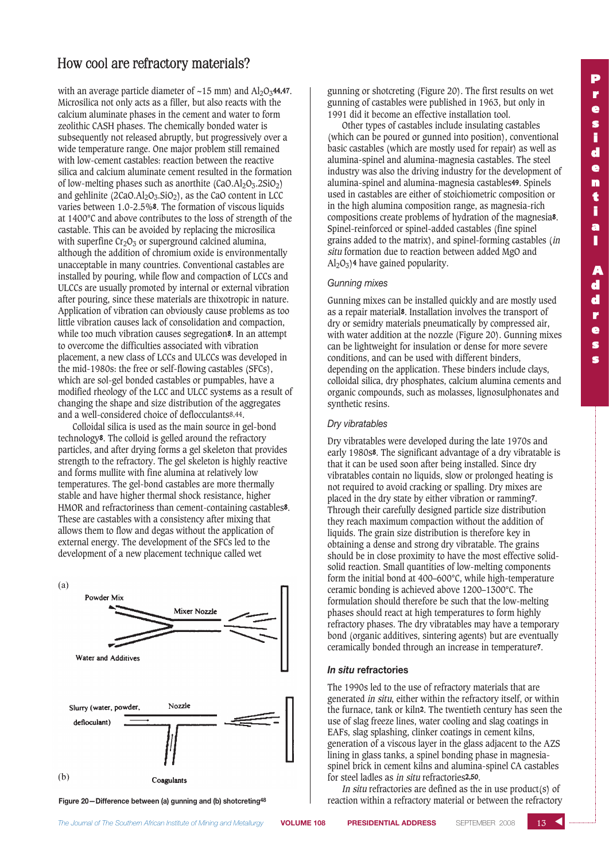with an average particle diameter of  $\sim$ 15 mm) and Al<sub>2</sub>O<sub>3</sub>44,47. Microsilica not only acts as a filler, but also reacts with the calcium aluminate phases in the cement and water to form zeolithic CASH phases. The chemically bonded water is subsequently not released abruptly, but progressively over a wide temperature range. One major problem still remained with low-cement castables: reaction between the reactive silica and calcium aluminate cement resulted in the formation of low-melting phases such as anorthite  $(CaO.AI<sub>2</sub>O<sub>3</sub> \cdot 2SiO<sub>2</sub>)$ and gehlinite  $(2CaO.AI<sub>2</sub>O<sub>3</sub>.SiO<sub>2</sub>)$ , as the CaO content in LCC varies between 1.0-2.5%8. The formation of viscous liquids at 1400°C and above contributes to the loss of strength of the castable. This can be avoided by replacing the microsilica with superfine  $Cr_2O_3$  or superground calcined alumina, although the addition of chromium oxide is environmentally unacceptable in many countries. Conventional castables are installed by pouring, while flow and compaction of LCCs and ULCCs are usually promoted by internal or external vibration after pouring, since these materials are thixotropic in nature. Application of vibration can obviously cause problems as too little vibration causes lack of consolidation and compaction, while too much vibration causes segregation8. In an attempt to overcome the difficulties associated with vibration placement, a new class of LCCs and ULCCs was developed in the mid-1980s: the free or self-flowing castables (SFCs), which are sol-gel bonded castables or pumpables, have a modified rheology of the LCC and ULCC systems as a result of changing the shape and size distribution of the aggregates and a well-considered choice of deflocculants8,44.

Colloidal silica is used as the main source in gel-bond technology8. The colloid is gelled around the refractory particles, and after drying forms a gel skeleton that provides strength to the refractory. The gel skeleton is highly reactive and forms mullite with fine alumina at relatively low temperatures. The gel-bond castables are more thermally stable and have higher thermal shock resistance, higher HMOR and refractoriness than cement-containing castables8. These are castables with a consistency after mixing that allows them to flow and degas without the application of external energy. The development of the SFCs led to the development of a new placement technique called wet



**Figure 20—Difference between (a) gunning and (b) shotcreting48**

gunning or shotcreting (Figure 20). The first results on wet gunning of castables were published in 1963, but only in 1991 did it become an effective installation tool.

Other types of castables include insulating castables (which can be poured or gunned into position), conventional basic castables (which are mostly used for repair) as well as alumina-spinel and alumina-magnesia castables. The steel industry was also the driving industry for the development of alumina-spinel and alumina-magnesia castables49. Spinels used in castables are either of stoichiometric composition or in the high alumina composition range, as magnesia-rich compositions create problems of hydration of the magnesia8. Spinel-reinforced or spinel-added castables (fine spinel grains added to the matrix), and spinel-forming castables (in situ formation due to reaction between added MgO and  $Al_2O_3$ )<sup>4</sup> have gained popularity.

#### *Gunning mixes*

Gunning mixes can be installed quickly and are mostly used as a repair material8. Installation involves the transport of dry or semidry materials pneumatically by compressed air, with water addition at the nozzle (Figure 20). Gunning mixes can be lightweight for insulation or dense for more severe conditions, and can be used with different binders, depending on the application. These binders include clays, colloidal silica, dry phosphates, calcium alumina cements and organic compounds, such as molasses, lignosulphonates and synthetic resins.

#### *Dry vibratables*

Dry vibratables were developed during the late 1970s and early 1980s8. The significant advantage of a dry vibratable is that it can be used soon after being installed. Since dry vibratables contain no liquids, slow or prolonged heating is not required to avoid cracking or spalling. Dry mixes are placed in the dry state by either vibration or ramming7. Through their carefully designed particle size distribution they reach maximum compaction without the addition of liquids. The grain size distribution is therefore key in obtaining a dense and strong dry vibratable. The grains should be in close proximity to have the most effective solidsolid reaction. Small quantities of low-melting components form the initial bond at 400–600°C, while high-temperature ceramic bonding is achieved above 1200–1300°C. The formulation should therefore be such that the low-melting phases should react at high temperatures to form highly refractory phases. The dry vibratables may have a temporary bond (organic additives, sintering agents) but are eventually ceramically bonded through an increase in temperature7.

#### *In situ* **refractories**

The 1990s led to the use of refractory materials that are generated in situ, either within the refractory itself, or within the furnace, tank or kiln2. The twentieth century has seen the use of slag freeze lines, water cooling and slag coatings in EAFs, slag splashing, clinker coatings in cement kilns, generation of a viscous layer in the glass adjacent to the AZS lining in glass tanks, a spinel bonding phase in magnesiaspinel brick in cement kilns and alumina-spinel CA castables for steel ladles as in situ refractories2,50.

In situ refractories are defined as the in use product(s) of reaction within a refractory material or between the refractory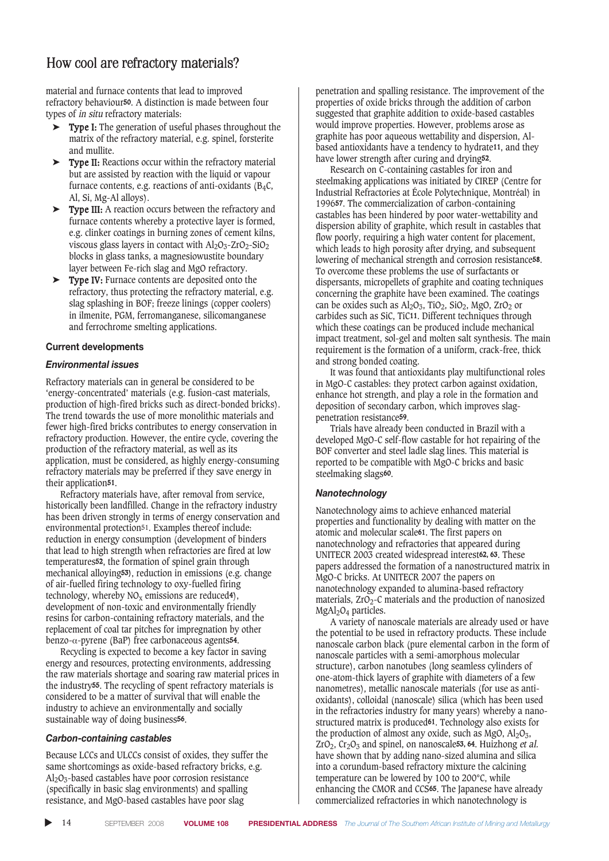material and furnace contents that lead to improved refractory behaviour50. A distinction is made between four types of in situ refractory materials:

- ➤ Type I: The generation of useful phases throughout the matrix of the refractory material, e.g. spinel, forsterite and mullite.
- ➤ Type II: Reactions occur within the refractory material but are assisted by reaction with the liquid or vapour furnace contents, e.g. reactions of anti-oxidants  $(B_4C,$ Al, Si, Mg-Al alloys).
- ➤ Type III: A reaction occurs between the refractory and furnace contents whereby a protective layer is formed, e.g. clinker coatings in burning zones of cement kilns, viscous glass layers in contact with  $Al_2O_3$ -ZrO<sub>2</sub>-SiO<sub>2</sub> blocks in glass tanks, a magnesiowustite boundary layer between Fe-rich slag and MgO refractory.
- ➤ Type IV: Furnace contents are deposited onto the refractory, thus protecting the refractory material, e.g. slag splashing in BOF; freeze linings (copper coolers) in ilmenite, PGM, ferromanganese, silicomanganese and ferrochrome smelting applications.

### **Current developments**

### *Environmental issues*

Refractory materials can in general be considered to be 'energy-concentrated' materials (e.g. fusion-cast materials, production of high-fired bricks such as direct-bonded bricks). The trend towards the use of more monolithic materials and fewer high-fired bricks contributes to energy conservation in refractory production. However, the entire cycle, covering the production of the refractory material, as well as its application, must be considered, as highly energy-consuming refractory materials may be preferred if they save energy in their application<sup>51</sup>.

Refractory materials have, after removal from service, historically been landfilled. Change in the refractory industry has been driven strongly in terms of energy conservation and environmental protection<sup>51</sup>. Examples thereof include: reduction in energy consumption (development of binders that lead to high strength when refractories are fired at low temperatures52, the formation of spinel grain through mechanical alloying53), reduction in emissions (e.g. change of air-fuelled firing technology to oxy-fuelled firing technology, whereby  $NO<sub>x</sub>$  emissions are reduced<sup>4</sup>), development of non-toxic and environmentally friendly resins for carbon-containing refractory materials, and the replacement of coal tar pitches for impregnation by other benzo- $α$ -pyrene (BaP) free carbonaceous agents<sup>54</sup>.

Recycling is expected to become a key factor in saving energy and resources, protecting environments, addressing the raw materials shortage and soaring raw material prices in the industry55. The recycling of spent refractory materials is considered to be a matter of survival that will enable the industry to achieve an environmentally and socially sustainable way of doing business56.

### *Carbon-containing castables*

Because LCCs and ULCCs consist of oxides, they suffer the same shortcomings as oxide-based refractory bricks, e.g.  $Al_2O_3$ -based castables have poor corrosion resistance (specifically in basic slag environments) and spalling resistance, and MgO-based castables have poor slag

penetration and spalling resistance. The improvement of the properties of oxide bricks through the addition of carbon suggested that graphite addition to oxide-based castables would improve properties. However, problems arose as graphite has poor aqueous wettability and dispersion, Albased antioxidants have a tendency to hydrate11, and they have lower strength after curing and drying52.

Research on C-containing castables for iron and steelmaking applications was initiated by CIREP (Centre for Industrial Refractories at École Polytechnique, Montréal) in 199657. The commercialization of carbon-containing castables has been hindered by poor water-wettability and dispersion ability of graphite, which result in castables that flow poorly, requiring a high water content for placement, which leads to high porosity after drying, and subsequent lowering of mechanical strength and corrosion resistance58. To overcome these problems the use of surfactants or dispersants, micropellets of graphite and coating techniques concerning the graphite have been examined. The coatings can be oxides such as  $\text{Al}_2\text{O}_3$ , TiO<sub>2</sub>, SiO<sub>2</sub>, MgO, ZrO<sub>2</sub> or carbides such as SiC, TiC11. Different techniques through which these coatings can be produced include mechanical impact treatment, sol-gel and molten salt synthesis. The main requirement is the formation of a uniform, crack-free, thick and strong bonded coating.

It was found that antioxidants play multifunctional roles in MgO-C castables: they protect carbon against oxidation, enhance hot strength, and play a role in the formation and deposition of secondary carbon, which improves slagpenetration resistance59.

Trials have already been conducted in Brazil with a developed MgO-C self-flow castable for hot repairing of the BOF converter and steel ladle slag lines. This material is reported to be compatible with MgO-C bricks and basic steelmaking slags60.

### *Nanotechnology*

Nanotechnology aims to achieve enhanced material properties and functionality by dealing with matter on the atomic and molecular scale61. The first papers on nanotechnology and refractories that appeared during UNITECR 2003 created widespread interest62, 63. These papers addressed the formation of a nanostructured matrix in MgO-C bricks. At UNITECR 2007 the papers on nanotechnology expanded to alumina-based refractory materials,  $ZrO<sub>2</sub>$ -C materials and the production of nanosized MgAl<sub>2</sub>O<sub>4</sub> particles.

A variety of nanoscale materials are already used or have the potential to be used in refractory products. These include nanoscale carbon black (pure elemental carbon in the form of nanoscale particles with a semi-amorphous molecular structure), carbon nanotubes (long seamless cylinders of one-atom-thick layers of graphite with diameters of a few nanometres), metallic nanoscale materials (for use as antioxidants), colloidal (nanoscale) silica (which has been used in the refractories industry for many years) whereby a nanostructured matrix is produced61. Technology also exists for the production of almost any oxide, such as MgO,  $Al_2O_3$ ,  $ZrO_2$ ,  $Cr_2O_3$  and spinel, on nanoscale<sup>53</sup>, 64. Huizhong et al. have shown that by adding nano-sized alumina and silica into a corundum-based refractory mixture the calcining temperature can be lowered by 100 to 200°C, while enhancing the CMOR and CCS65. The Japanese have already commercialized refractories in which nanotechnology is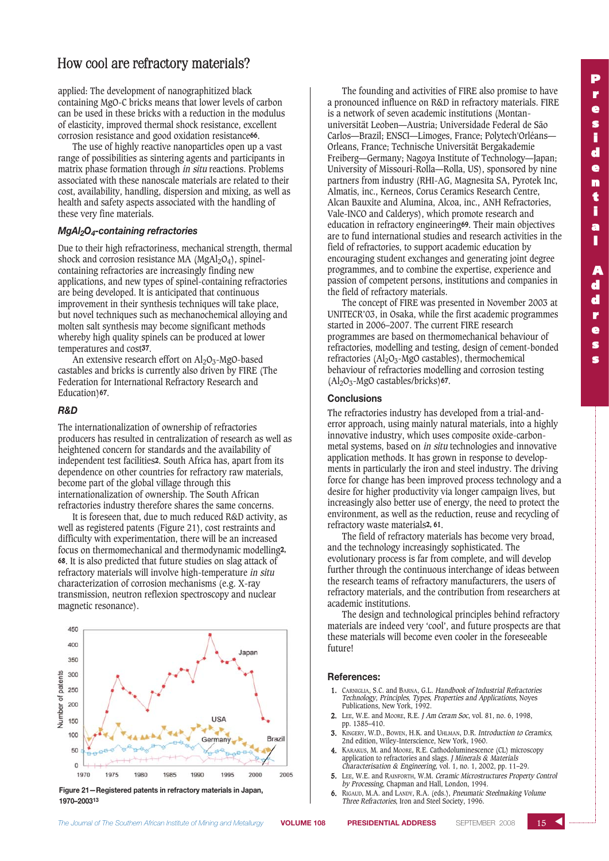applied: The development of nanographitized black containing MgO-C bricks means that lower levels of carbon can be used in these bricks with a reduction in the modulus of elasticity, improved thermal shock resistance, excellent corrosion resistance and good oxidation resistance66.

The use of highly reactive nanoparticles open up a vast range of possibilities as sintering agents and participants in matrix phase formation through in situ reactions. Problems associated with these nanoscale materials are related to their cost, availability, handling, dispersion and mixing, as well as health and safety aspects associated with the handling of these very fine materials.

#### *MgAl2O4-containing refractories*

Due to their high refractoriness, mechanical strength, thermal shock and corrosion resistance MA ( $MgAl<sub>2</sub>O<sub>4</sub>$ ), spinelcontaining refractories are increasingly finding new applications, and new types of spinel-containing refractories are being developed. It is anticipated that continuous improvement in their synthesis techniques will take place, but novel techniques such as mechanochemical alloying and molten salt synthesis may become significant methods whereby high quality spinels can be produced at lower temperatures and cost37.

An extensive research effort on  $\text{Al}_2\text{O}_3$ -MgO-based castables and bricks is currently also driven by FIRE (The Federation for International Refractory Research and Education)67.

### *R&D*

The internationalization of ownership of refractories producers has resulted in centralization of research as well as heightened concern for standards and the availability of independent test facilities2. South Africa has, apart from its dependence on other countries for refractory raw materials, become part of the global village through this internationalization of ownership. The South African refractories industry therefore shares the same concerns.

It is foreseen that, due to much reduced R&D activity, as well as registered patents (Figure 21), cost restraints and difficulty with experimentation, there will be an increased focus on thermomechanical and thermodynamic modelling2, 68. It is also predicted that future studies on slag attack of refractory materials will involve high-temperature in situ characterization of corrosion mechanisms (e.g. X-ray transmission, neutron reflexion spectroscopy and nuclear magnetic resonance).



**Figure 21—Registered patents in refractory materials in Japan, 1970–200313**

The founding and activities of FIRE also promise to have a pronounced influence on R&D in refractory materials. FIRE is a network of seven academic institutions (Montanuniversität Leoben—Austria; Universidade Federal de São Carlos—Brazil; ENSCI—Limoges, France; Polytech'Orléans— Orleans, France; Technische Universität Bergakademie Freiberg—Germany; Nagoya Institute of Technology—Japan; University of Missouri-Rolla—Rolla, US), sponsored by nine partners from industry (RHI-AG, Magnesita SA, Pyrotek Inc, Almatis, inc., Kerneos, Corus Ceramics Research Centre, Alcan Bauxite and Alumina, Alcoa, inc., ANH Refractories, Vale-INCO and Calderys), which promote research and education in refractory engineering69. Their main objectives are to fund international studies and research activities in the field of refractories, to support academic education by encouraging student exchanges and generating joint degree programmes, and to combine the expertise, experience and passion of competent persons, institutions and companies in the field of refractory materials.

The concept of FIRE was presented in November 2003 at UNITECR'03, in Osaka, while the first academic programmes started in 2006–2007. The current FIRE research programmes are based on thermomechanical behaviour of refractories, modelling and testing, design of cement-bonded refractories  $(A<sub>2</sub>O<sub>3</sub> - MgO$  castables), thermochemical behaviour of refractories modelling and corrosion testing  $(A<sub>2</sub>O<sub>3</sub> - MgO castables/bricks)$ 67.

#### **Conclusions**

The refractories industry has developed from a trial-anderror approach, using mainly natural materials, into a highly innovative industry, which uses composite oxide-carbonmetal systems, based on in situ technologies and innovative application methods. It has grown in response to developments in particularly the iron and steel industry. The driving force for change has been improved process technology and a desire for higher productivity via longer campaign lives, but increasingly also better use of energy, the need to protect the environment, as well as the reduction, reuse and recycling of refractory waste materials2, 61.

The field of refractory materials has become very broad, and the technology increasingly sophisticated. The evolutionary process is far from complete, and will develop further through the continuous interchange of ideas between the research teams of refractory manufacturers, the users of refractory materials, and the contribution from researchers at academic institutions.

The design and technological principles behind refractory materials are indeed very 'cool', and future prospects are that these materials will become even cooler in the foreseeable future!

#### **References:**

- 1. CARNIGLIA, S.C. and BARNA, G.L. Handbook of Industrial Refractories Technology, Principles, Types, Properties and Applications, Noyes Publications, New York, 1992.
- 2. LEE, W.E. and MOORE, R.E. J Am Ceram Soc, vol. 81, no. 6, 1998, pp. 1385–410.
- 3. KINGERY, W.D., BOWEN, H.K. and UHLMAN, D.R. Introduction to Ceramics, 2nd edition, Wiley-Interscience, New York, 1960.
- 4. KARAKUS, M. and MOORE, R.E. Cathodoluminescence (CL) microscopy application to refractories and slags. J Minerals & Materials Characterisation & Engineering, vol. 1, no. 1, 2002, pp. 11–29.
- 5. LEE, W.E. and RAINFORTH, W.M. Ceramic Microstructures Property Control by Processing, Chapman and Hall, London, 1994.
- 6. RIGAUD, M.A. and LANDY, R.A. (eds.), Pneumatic Steelmaking Volume Three Refractories, Iron and Steel Society, 1996.